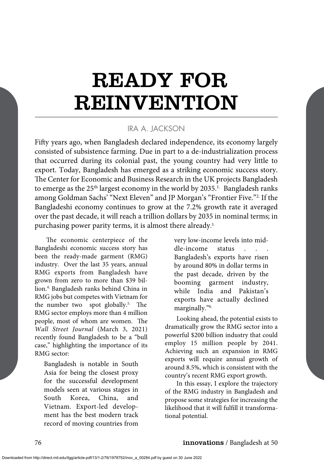# READY FOR REINVENTION

## IRA A. JACKSON

Fifty years ago, when Bangladesh declared independence, its economy largely consisted of subsistence farming. Due in part to a de-industrialization process that occurred during its colonial past, the young country had very little to export. Today, Bangladesh has emerged as a striking economic success story. The Center for Economic and Business Research in the UK projects Bangladesh to emerge as the  $25<sup>th</sup>$  largest economy in the world by  $2035<sup>1</sup>$ . Bangladesh ranks among Goldman Sachs' "Next Eleven" and JP Morgan's "Frontier Five."2. If the Bangladeshi economy continues to grow at the 7.2% growth rate it averaged over the past decade, it will reach a trillion dollars by 2035 in nominal terms; in purchasing power parity terms, it is almost there already. 3.

The economic centerpiece of the Bangladeshi economic success story has been the ready-made garment (RMG) industry. Over the last 35 years, annual RMG exports from Bangladesh have grown from zero to more than \$39 billion.4. Bangladesh ranks behind China in RMG jobs but competes with Vietnam for the number two spot globally.5. The RMG sector employs more than 4 million people, most of whom are women. The *Wall Street Journal* (March 3, 2021) recently found Bangladesh to be a "bull case," highlighting the importance of its RMG sector:

Bangladesh is notable in South Asia for being the closest proxy for the successful development models seen at various stages in South Korea, China, and Vietnam. Export-led development has the best modern track record of moving countries from very low-income levels into middle-income status Bangladesh's exports have risen by around 80% in dollar terms in the past decade, driven by the booming garment industry, while India and Pakistan's exports have actually declined marginally."6.

Looking ahead, the potential exists to dramatically grow the RMG sector into a powerful \$200 billion industry that could employ 15 million people by 2041. Achieving such an expansion in RMG exports will require annual growth of around 8.5%, which is consistent with the country's recent RMG export growth.

In this essay, I explore the trajectory of the RMG industry in Bangladesh and propose some strategies for increasing the likelihood that it will fulfill it transformational potential.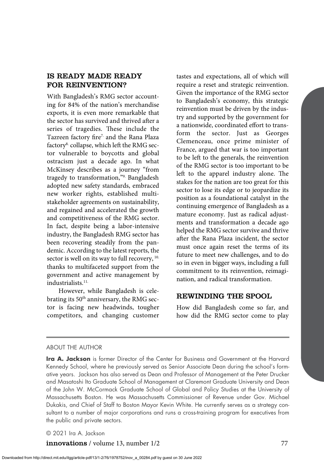## IS READY MADE READY FOR REINVENTION?

With Bangladesh's RMG sector accounting for 84% of the nation's merchandise exports, it is even more remarkable that the sector has survived and thrived after a series of tragedies. These include the Tazreen factory fire<sup>7.</sup> and the Rana Plaza factory<sup>8</sup> collapse, which left the RMG sector vulnerable to boycotts and global ostracism just a decade ago. In what McKinsey describes as a journey "from tragedy to transformation,"9. Bangladesh adopted new safety standards, embraced new worker rights, established multistakeholder agreements on sustainability, and regained and accelerated the growth and competitiveness of the RMG sector. In fact, despite being a labor-intensive industry, the Bangladesh RMG sector has been recovering steadily from the pandemic. According to the latest reports, the sector is well on its way to full recovery, 10. thanks to multifaceted support from the government and active management by industrialists.11.

However, while Bangladesh is celebrating its 50<sup>th</sup> anniversary, the RMG sector is facing new headwinds, tougher competitors, and changing customer

tastes and expectations, all of which will require a reset and strategic reinvention. Given the importance of the RMG sector to Bangladesh's economy, this strategic reinvention must be driven by the industry and supported by the government for a nationwide, coordinated effort to transform the sector. Just as Georges Clemenceau, once prime minister of France, argued that war is too important to be left to the generals, the reinvention of the RMG sector is too important to be left to the apparel industry alone. The stakes for the nation are too great for this sector to lose its edge or to jeopardize its position as a foundational catalyst in the continuing emergence of Bangladesh as a mature economy. Just as radical adjustments and transformation a decade ago helped the RMG sector survive and thrive after the Rana Plaza incident, the sector must once again reset the terms of its future to meet new challenges, and to do so in even in bigger ways, including a full commitment to its reinvention, reimagination, and radical transformation.

#### REWINDING THE SPOOL

How did Bangladesh come so far, and how did the RMG sector come to play

#### ABOUT THE AUTHOR

**Ira A. Jackson** is former Director of the Center for Business and Government at the Harvard Kennedy School, where he previously served as Senior Associate Dean during the school's formative years. Jackson has also served as Dean and Professor of Management at the Peter Drucker and Masatoshi Ito Graduate School of Management at Claremont Graduate University and Dean of the John W. McCormack Graduate School of Global and Policy Studies at the University of Massachusetts Boston. He was Massachusetts Commissioner of Revenue under Gov. Michael Dukakis, and Chief of Staff to Boston Mayor Kevin White. He currently serves as a strategy consultant to a number of major corporations and runs a cross-training program for executives from the public and private sectors.

© 2021 Ira A. Jackson

**innovations** / volume 13, number 1/2 77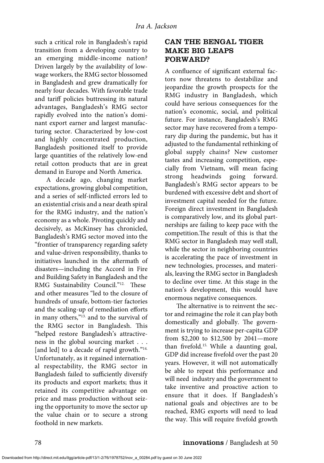such a critical role in Bangladesh's rapid transition from a developing country to an emerging middle-income nation? Driven largely by the availability of lowwage workers, the RMG sector blossomed in Bangladesh and grew dramatically for nearly four decades. With favorable trade and tariff policies buttressing its natural advantages, Bangladesh's RMG sector rapidly evolved into the nation's dominant export earner and largest manufacturing sector. Characterized by low-cost and highly concentrated production, Bangladesh positioned itself to provide large quantities of the relatively low-end retail cotton products that are in great demand in Europe and North America.

A decade ago, changing market expectations, growing global competition, and a series of self-inflicted errors led to an existential crisis and a near death spiral for the RMG industry, and the nation's economy as a whole. Pivoting quickly and decisively, as McKinsey has chronicled, Bangladesh's RMG sector moved into the "frontier of transparency regarding safety and value-driven responsibility, thanks to initiatives launched in the aftermath of disasters—including the Accord in Fire and Building Safety in Bangladesh and the RMG Sustainability Council."<sup>12.</sup> These and other measures "led to the closure of hundreds of unsafe, bottom-tier factories and the scaling-up of remediation efforts in many others,"13. and to the survival of the RMG sector in Bangladesh. This "helped restore Bangladesh's attractiveness in the global sourcing market . . . [and led] to a decade of rapid growth."<sup>14.</sup> Unfortunately, as it regained international respectability, the RMG sector in Bangladesh failed to sufficiently diversify its products and export markets; thus it retained its competitive advantage on price and mass production without seizing the opportunity to move the sector up the value chain or to secure a strong foothold in new markets.

# CAN THE BENGAL TIGER MAKE BIG LEAPS FORWARD?

A confluence of significant external factors now threatens to destabilize and jeopardize the growth prospects for the RMG industry in Bangladesh, which could have serious consequences for the nation's economic, social, and political future. For instance, Bangladesh's RMG sector may have recovered from a temporary dip during the pandemic, but has it adjusted to the fundamental rethinking of global supply chains? New customer tastes and increasing competition, especially from Vietnam, will mean facing strong headwinds going forward. Bangladesh's RMG sector appears to be burdened with excessive debt and short of investment capital needed for the future. Foreign direct investment in Bangladesh is comparatively low, and its global partnerships are failing to keep pace with the competition.The result of this is that the RMG sector in Bangladesh may well stall, while the sector in neighboring countries is accelerating the pace of investment in new technologies, processes, and materials, leaving the RMG sector in Bangladesh to decline over time. At this stage in the nation's development, this would have enormous negative consequences.

The alternative is to reinvent the sector and reimagine the role it can play both domestically and globally. The government is trying to increase per-capita GDP from \$2,200 to \$12,500 by 2041—more than fivefold.15. While a daunting goal, GDP did increase fivefold over the past 20 years. However, it will not automatically be able to repeat this performance and will need industry and the government to take inventive and proactive action to ensure that it does. If Bangladesh's national goals and objectives are to be reached, RMG exports will need to lead the way. This will require fivefold growth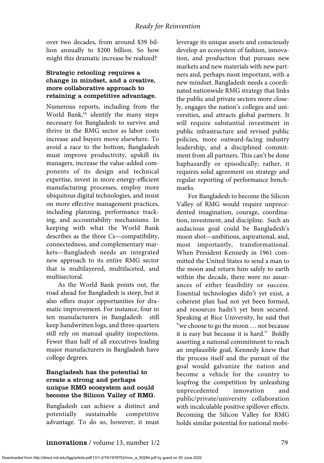over two decades, from around \$39 billion annually to \$200 billion. So how might this dramatic increase be realized?

#### Strategic retooling requires a change in mindset, and a creative, more collaborative approach to retaining a competitive advantage.

Numerous reports, including from the World Bank,<sup>16.</sup> identify the many steps necessary for Bangladesh to survive and thrive in the RMG sector as labor costs increase and buyers move elsewhere. To avoid a race to the bottom, Bangladesh must improve productivity, upskill its managers, increase the value-added components of its design and technical expertise, invest in more energy-efficient manufacturing processes, employ more ubiquitous digital technologies, and insist on more effective management practices, including planning, performance tracking, and accountability mechanisms. In keeping with what the World Bank describes as the three Cs—compatibility, connectedness, and complementary markets—Bangladesh needs an integrated new approach to its entire RMG sector that is multilayered, multifaceted, and multisectoral.

As the World Bank points out, the road ahead for Bangladesh is steep, but it also offers major opportunities for dramatic improvement. For instance, four in ten manufacturers in Bangladesh still keep handwritten logs, and three-quarters still rely on manual quality inspections. Fewer than half of all executives leading major manufacturers in Bangladesh have college degrees.

#### Bangladesh has the potential to create a strong and perhaps unique RMG ecosystem and could become the Silicon Valley of RMG.

Bangladesh can achieve a distinct and potentially sustainable competitive advantage. To do so, however, it must leverage its unique assets and consciously develop an ecosystem of fashion, innovation, and production that pursues new markets and new materials with new partners and, perhaps most important, with a new mindset. Bangladesh needs a coordinated nationwide RMG strategy that links the public and private sectors more closely, engages the nation's colleges and universities, and attracts global partners. It will require substantial investment in public infrastructure and revised public policies, more outward-facing industry leadership, and a disciplined commitment from all partners. This can't be done haphazardly or episodically; rather, it requires solid agreement on strategy and regular reporting of performance benchmarks.

For Bangladesh to become the Silicon Valley of RMG would require unprecedented imagination, courage, coordination, investment, and discipline. Such an audacious goal could be Bangladesh's moon shot—ambitious, aspirational, and, most importantly, transformational. When President Kennedy in 1961 committed the United States to send a man to the moon and return him safely to earth within the decade, there were no assurances of either feasibility or success. Essential technologies didn't yet exist, a coherent plan had not yet been formed, and resources hadn't yet been secured. Speaking at Rice University, he said that "we choose to go the moon … not because it is easy but because it is hard." Boldly asserting a national commitment to reach an implausible goal, Kennedy knew that the process itself and the pursuit of the goal would galvanize the nation and become a vehicle for the country to leapfrog the competition by unleashing unprecedented innovation public/private/university collaboration with incalculable positive spillover effects. Becoming the Silicon Valley for RMG holds similar potential for national mobi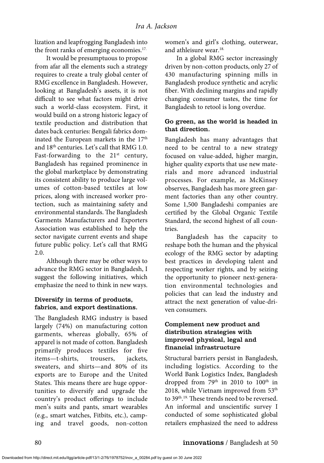lization and leapfrogging Bangladesh into the front ranks of emerging economies.<sup>17.</sup>

It would be presumptuous to propose from afar all the elements such a strategy requires to create a truly global center of RMG excellence in Bangladesh. However, looking at Bangladesh's assets, it is not difficult to see what factors might drive such a world-class ecosystem. First, it would build on a strong historic legacy of textile production and distribution that dates back centuries: Bengali fabrics dominated the European markets in the 17<sup>th</sup> and 18th centuries. Let's call that RMG 1.0. Fast-forwarding to the  $21<sup>st</sup>$  century, Bangladesh has regained prominence in the global marketplace by demonstrating its consistent ability to produce large volumes of cotton-based textiles at low prices, along with increased worker protection, such as maintaining safety and environmental standards. The Bangladesh Garments Manufacturers and Exporters Association was established to help the sector navigate current events and shape future public policy. Let's call that RMG 2.0.

Although there may be other ways to advance the RMG sector in Bangladesh, I suggest the following initiatives, which emphasize the need to think in new ways.

#### Diversify in terms of products, fabrics, and export destinations.

The Bangladesh RMG industry is based largely (74%) on manufacturing cotton garments, whereas globally, 65% of apparel is not made of cotton. Bangladesh primarily produces textiles for five items—t-shirts, trousers, jackets, sweaters, and shirts—and 80% of its exports are to Europe and the United States. This means there are huge opportunities to diversify and upgrade the country's product offerings to include men's suits and pants, smart wearables (e.g., smart watches, Fitbits, etc.), camping and travel goods, non-cotton

women's and girl's clothing, outerwear, and athleisure wear.<sup>18.</sup>

In a global RMG sector increasingly driven by non-cotton products, only 27 of 430 manufacturing spinning mills in Bangladesh produce synthetic and acrylic fiber. With declining margins and rapidly changing consumer tastes, the time for Bangladesh to retool is long overdue.

#### Go green, as the world is headed in that direction.

Bangladesh has many advantages that need to be central to a new strategy focused on value-added, higher margin, higher quality exports that use new materials and more advanced industrial processes. For example, as McKinsey observes, Bangladesh has more green garment factories than any other country. Some 1,500 Bangladeshi companies are certified by the Global Organic Textile Standard, the second highest of all countries.

Bangladesh has the capacity to reshape both the human and the physical ecology of the RMG sector by adapting best practices in developing talent and respecting worker rights, and by seizing the opportunity to pioneer next-generation environmental technologies and policies that can lead the industry and attract the next generation of value-driven consumers.

#### Complement new product and distribution strategies with improved physical, legal and financial infrastructure

Structural barriers persist in Bangladesh, including logistics. According to the World Bank Logistics Index, Bangladesh dropped from 79<sup>th</sup> in 2010 to 100<sup>th</sup> in 2018, while Vietnam improved from 53th to 39th. 19. These trends need to be reversed. An informal and unscientific survey I conducted of some sophisticated global retailers emphasized the need to address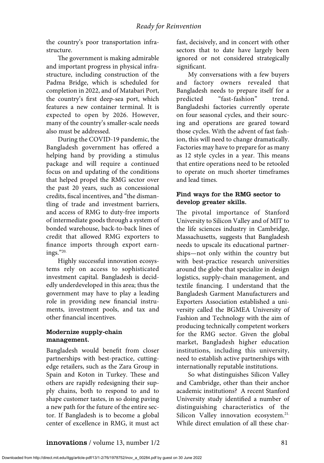the country's poor transportation infrastructure.

The government is making admirable and important progress in physical infrastructure, including construction of the Padma Bridge, which is scheduled for completion in 2022, and of Matabari Port, the country's first deep-sea port, which features a new container terminal. It is expected to open by 2026. However, many of the country's smaller-scale needs also must be addressed.

During the COVID-19 pandemic, the Bangladesh government has offered a helping hand by providing a stimulus package and will require a continued focus on and updating of the conditions that helped propel the RMG sector over the past 20 years, such as concessional credits, fiscal incentives, and "the dismantling of trade and investment barriers, and access of RMG to duty-free imports of intermediate goods through a system of bonded warehouse, back-to-back lines of credit that allowed RMG exporters to finance imports through export earnings."20.

Highly successful innovation ecosystems rely on access to sophisticated investment capital. Bangladesh is decidedly underdeveloped in this area; thus the government may have to play a leading role in providing new financial instruments, investment pools, and tax and other financial incentives.

#### Modernize supply-chain management.

Bangladesh would benefit from closer partnerships with best-practice, cuttingedge retailers, such as the Zara Group in Spain and Koton in Turkey. These and others are rapidly redesigning their supply chains, both to respond to and to shape customer tastes, in so doing paving a new path for the future of the entire sector. If Bangladesh is to become a global center of excellence in RMG, it must act fast, decisively, and in concert with other sectors that to date have largely been ignored or not considered strategically significant.

My conversations with a few buyers and factory owners revealed that Bangladesh needs to prepare itself for a predicted "fast-fashion" trend. Bangladeshi factories currently operate on four seasonal cycles, and their sourcing and operations are geared toward those cycles. With the advent of fast fashion, this will need to change dramatically. Factories may have to prepare for as many as 12 style cycles in a year. This means that entire operations need to be retooled to operate on much shorter timeframes and lead times.

#### Find ways for the RMG sector to develop greater skills.

The pivotal importance of Stanford University to Silicon Valley and of MIT to the life sciences industry in Cambridge, Massachusetts, suggests that Bangladesh needs to upscale its educational partnerships—not only within the country but with best-practice research universities around the globe that specialize in design logistics, supply-chain management, and textile financing. I understand that the Bangladesh Garment Manufacturers and Exporters Association established a university called the BGMEA University of Fashion and Technology with the aim of producing technically competent workers for the RMG sector. Given the global market, Bangladesh higher education institutions, including this university, need to establish active partnerships with internationally reputable institutions.

So what distinguishes Silicon Valley and Cambridge, other than their anchor academic institutions? A recent Stanford University study identified a number of distinguishing characteristics of the Silicon Valley innovation ecosystem.<sup>21.</sup> While direct emulation of all these char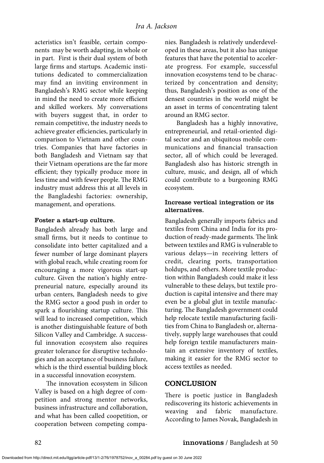acteristics isn't feasible, certain components may be worth adapting, in whole or in part. First is their dual system of both large firms and startups. Academic institutions dedicated to commercialization may find an inviting environment in Bangladesh's RMG sector while keeping in mind the need to create more efficient and skilled workers. My conversations with buyers suggest that, in order to remain competitive, the industry needs to achieve greater efficiencies, particularly in comparison to Vietnam and other countries. Companies that have factories in both Bangladesh and Vietnam say that their Vietnam operations are the far more efficient; they typically produce more in less time and with fewer people. The RMG industry must address this at all levels in the Bangladeshi factories: ownership, management, and operations.

#### Foster a start-up culture.

Bangladesh already has both large and small firms, but it needs to continue to consolidate into better capitalized and a fewer number of large dominant players with global reach, while creating room for encouraging a more vigorous start-up culture. Given the nation's highly entrepreneurial nature, especially around its urban centers, Bangladesh needs to give the RMG sector a good push in order to spark a flourishing startup culture. This will lead to increased competition, which is another distinguishable feature of both Silicon Valley and Cambridge. A successful innovation ecosystem also requires greater tolerance for disruptive technologies and an acceptance of business failure, which is the third essential building block in a successful innovation ecosystem.

The innovation ecosystem in Silicon Valley is based on a high degree of competition and strong mentor networks, business infrastructure and collaboration, and what has been called coopetition, or cooperation between competing companies. Bangladesh is relatively underdeveloped in these areas, but it also has unique features that have the potential to accelerate progress. For example, successful innovation ecosystems tend to be characterized by concentration and density; thus, Bangladesh's position as one of the densest countries in the world might be an asset in terms of concentrating talent around an RMG sector.

Bangladesh has a highly innovative, entrepreneurial, and retail-oriented digital sector and an ubiquitous mobile communications and financial transaction sector, all of which could be leveraged. Bangladesh also has historic strength in culture, music, and design, all of which could contribute to a burgeoning RMG ecosystem.

#### Increase vertical integration or its alternatives.

Bangladesh generally imports fabrics and textiles from China and India for its production of ready-made garments. The link between textiles and RMG is vulnerable to various delays—in receiving letters of credit, clearing ports, transportation holdups, and others. More textile production within Bangladesh could make it less vulnerable to these delays, but textile production is capital intensive and there may even be a global glut in textile manufacturing. The Bangladesh government could help relocate textile manufacturing facilities from China to Bangladesh or, alternatively, supply large warehouses that could help foreign textile manufacturers maintain an extensive inventory of textiles, making it easier for the RMG sector to access textiles as needed.

## CONCLUSION

There is poetic justice in Bangladesh rediscovering its historic achievements in weaving and fabric manufacture. According to James Novak, Bangladesh in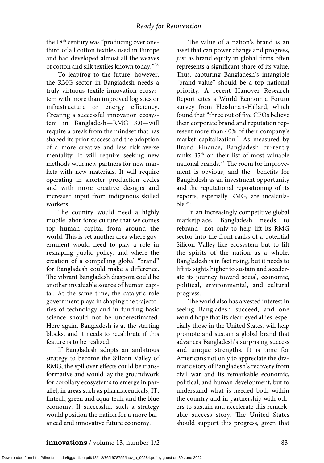the 18<sup>th</sup> century was "producing over onethird of all cotton textiles used in Europe and had developed almost all the weaves of cotton and silk textiles known today."22.

To leapfrog to the future, however, the RMG sector in Bangladesh needs a truly virtuous textile innovation ecosystem with more than improved logistics or infrastructure or energy efficiency. Creating a successful innovation ecosystem in Bangladesh—RMG 3.0—will require a break from the mindset that has shaped its prior success and the adoption of a more creative and less risk-averse mentality. It will require seeking new methods with new partners for new markets with new materials. It will require operating in shorter production cycles and with more creative designs and increased input from indigenous skilled workers.

The country would need a highly mobile labor force culture that welcomes top human capital from around the world. This is yet another area where government would need to play a role in reshaping public policy, and where the creation of a compelling global "brand" for Bangladesh could make a difference. The vibrant Bangladesh diaspora could be another invaluable source of human capital. At the same time, the catalytic role government plays in shaping the trajectories of technology and in funding basic science should not be underestimated. Here again, Bangladesh is at the starting blocks, and it needs to recalibrate if this feature is to be realized.

If Bangladesh adopts an ambitious strategy to become the Silicon Valley of RMG, the spillover effects could be transformative and would lay the groundwork for corollary ecosystems to emerge in parallel, in areas such as pharmaceuticals, IT, fintech, green and aqua-tech, and the blue economy. If successful, such a strategy would position the nation for a more balanced and innovative future economy.

The value of a nation's brand is an asset that can power change and progress, just as brand equity in global firms often represents a significant share of its value. Thus, capturing Bangladesh's intangible "brand value" should be a top national priority. A recent Hanover Research Report cites a World Economic Forum survey from Fleishman-Hillard, which found that "three out of five CEOs believe their corporate brand and reputation represent more than 40% of their company's market capitalization." As measured by Brand Finance, Bangladesh currently ranks 35th on their list of most valuable national brands.<sup>23.</sup> The room for improvement is obvious, and the benefits for Bangladesh as an investment opportunity and the reputational repositioning of its exports, especially RMG, are incalculable.24.

In an increasingly competitive global marketplace, Bangladesh needs to rebrand—not only to help lift its RMG sector into the front ranks of a potential Silicon Valley-like ecosystem but to lift the spirits of the nation as a whole. Bangladesh is in fact rising, but it needs to lift its sights higher to sustain and accelerate its journey toward social, economic, political, environmental, and cultural progress.

The world also has a vested interest in seeing Bangladesh succeed, and one would hope that its clear-eyed allies, especially those in the United States, will help promote and sustain a global brand that advances Bangladesh's surprising success and unique strengths. It is time for Americans not only to appreciate the dramatic story of Bangladesh's recovery from civil war and its remarkable economic, political, and human development, but to understand what is needed both within the country and in partnership with others to sustain and accelerate this remarkable success story. The United States should support this progress, given that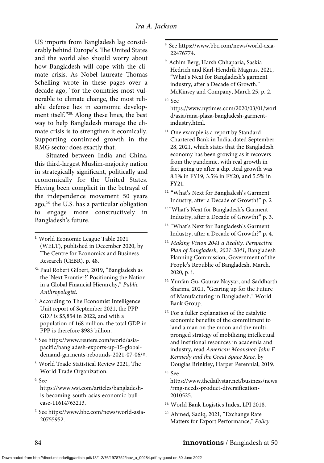US imports from Bangladesh lag considerably behind Europe's. The United States and the world also should worry about how Bangladesh will cope with the climate crisis. As Nobel laureate Thomas Schelling wrote in these pages over a decade ago, "for the countries most vulnerable to climate change, the most reliable defense lies in economic development itself."25. Along these lines, the best way to help Bangladesh manage the climate crisis is to strengthen it ecomically. Supporting continued growth in the RMG sector does exactly that.

Situated between India and China, this third-largest Muslim-majority nation in strategically significant, politically and economically for the United States. Having been complicit in the betrayal of the independence movement 50 years ago,<sup>26.</sup> the U.S. has a particular obligation to engage more constructively in Bangladesh's future.

- 1. World Economic League Table 2021 (WELT), published in December 2020, by The Centre for Economics and Business Research (CEBR), p. 48.
- ' 2. Paul Robert Gilbert, 2019, "Bangladesh as the 'Next Frontier?' Positioning the Nation in a Global Financial Hierarchy," *Public Anthropologist*.
- <sup>3.</sup> According to The Economist Intelligence Unit report of September 2021, the PPP GDP is \$5,854 in 2022, and with a population of 168 million, the total GDP in PPP is therefore \$983 billion.
- 4. See https://www.reuters.com/world/asiapacific/bangladesh-exports-up-15-globaldemand-garments-rebounds-2021-07-06/#.
- 5. World Trade Statistical Review 2021, The World Trade Organization.
- 6. See

https://www.wsj.com/articles/bangladeshis-becoming-south-asias-economic-bullcase-11614763213.

7. See https://www.bbc.com/news/world-asia-20755952.

- 8. See https://www.bbc.com/news/world-asia-22476774.
- 9. Achim Berg, Harsh Chhaparia, Saskia Hedrich and Karl-Hendrik Magnus, 2021, "What's Next for Bangladesh's garment industry, after a Decade of Growth." McKinsey and Company, March 25, p. 2.
- $10.$  See

https://www.nytimes.com/2020/03/01/worl d/asia/rana-plaza-bangladesh-garmentindustry.html.

- <sup>11.</sup> One example is a report by Standard Chartered Bank in India, dated September 28, 2021, which states that the Bangladesh economy has been growing as it recovers from the pandemic, with real growth in fact going up after a dip. Real growth was 8.1% in FY19, 3.5% in FY20, and 5.5% in FY21.
- 12. "What's Next for Bangladesh's Garment Industry, after a Decade of Growth?" p. 2
- 13."What's Next for Bangladesh's Garment Industry, after a Decade of Growth?" p. 3.
- 14. "What's Next for Bangladesh's Garment Industry, after a Decade of Growth?" p, 4.
- 15. *Making Vision 2041 a Reality. Perspective Plan of Bangladesh, 2021-2041*, Bangladesh Planning Commission, Government of the People's Republic of Bangladesh. March, 2020, p. i.
- <sup>16.</sup> Yunfan Gu, Gaurav Nayyar, and Saddharth Sharma, 2021, "Gearing up for the Future of Manufacturing in Bangladesh." World Bank Group.
- <sup>17.</sup> For a fuller explanation of the catalytic economic benefits of the commitment to land a man on the moon and the multipronged strategy of mobilizing intellectual and institional resources in academia and industry, read *American Moonshot: John F. Kennedy and the Great Space Race,* by Douglas Brinkley, Harper Perennial, 2019.
- 18. See

https://www.thedailystar.net/business/news /rmg-needs-product-diversification-2010525.

- 19. World Bank Logistics Index, LPI 2018.
- 20. Ahmed, Sadiq, 2021, "Exchange Rate Matters for Export Performance," *Policy*

#### 84 **innovations** / Bangladesh at 50